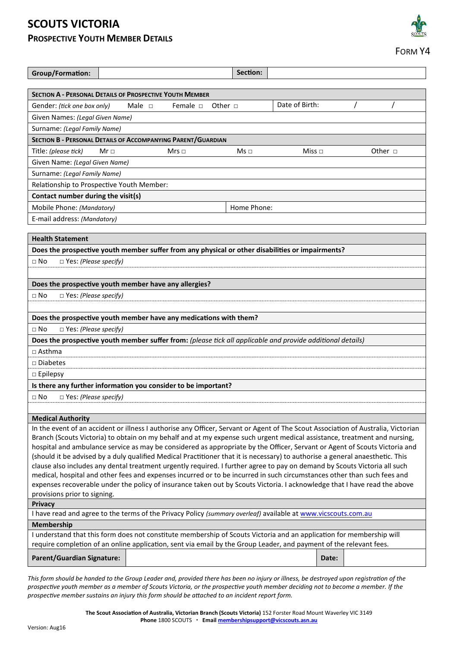## **SCOUTS VICTORIA PROSPECTIVE YOUTH MEMBER DETAILS**

| <b>Group/Formation:</b>                                                                                                                                                                                                                                    |             |             |               | Section:     |  |                |  |                |
|------------------------------------------------------------------------------------------------------------------------------------------------------------------------------------------------------------------------------------------------------------|-------------|-------------|---------------|--------------|--|----------------|--|----------------|
|                                                                                                                                                                                                                                                            |             |             |               |              |  |                |  |                |
| <b>SECTION A - PERSONAL DETAILS OF PROSPECTIVE YOUTH MEMBER</b>                                                                                                                                                                                            |             |             |               |              |  |                |  |                |
| Gender: (tick one box only)                                                                                                                                                                                                                                |             | Male $\Box$ | Female $\Box$ | Other $\Box$ |  | Date of Birth: |  |                |
| Given Names: (Legal Given Name)                                                                                                                                                                                                                            |             |             |               |              |  |                |  |                |
| Surname: (Legal Family Name)                                                                                                                                                                                                                               |             |             |               |              |  |                |  |                |
| SECTION B - PERSONAL DETAILS OF ACCOMPANYING PARENT/GUARDIAN                                                                                                                                                                                               |             |             |               |              |  |                |  |                |
| Title: (please tick)                                                                                                                                                                                                                                       | Mr $\sqcap$ |             | Mrs $\sqcap$  | $Ms \Box$    |  | Miss $\Box$    |  | Other $\sqcap$ |
| Given Name: (Legal Given Name)                                                                                                                                                                                                                             |             |             |               |              |  |                |  |                |
| Surname: (Legal Family Name)                                                                                                                                                                                                                               |             |             |               |              |  |                |  |                |
| Relationship to Prospective Youth Member:                                                                                                                                                                                                                  |             |             |               |              |  |                |  |                |
| Contact number during the visit(s)                                                                                                                                                                                                                         |             |             |               |              |  |                |  |                |
| Mobile Phone: (Mandatory)<br>Home Phone:                                                                                                                                                                                                                   |             |             |               |              |  |                |  |                |
| E-mail address: (Mandatory)                                                                                                                                                                                                                                |             |             |               |              |  |                |  |                |
|                                                                                                                                                                                                                                                            |             |             |               |              |  |                |  |                |
| <b>Health Statement</b>                                                                                                                                                                                                                                    |             |             |               |              |  |                |  |                |
| Does the prospective youth member suffer from any physical or other disabilities or impairments?                                                                                                                                                           |             |             |               |              |  |                |  |                |
| $\Box$ Yes: (Please specify)<br>$\Box$ No                                                                                                                                                                                                                  |             |             |               |              |  |                |  |                |
|                                                                                                                                                                                                                                                            |             |             |               |              |  |                |  |                |
| Does the prospective youth member have any allergies?                                                                                                                                                                                                      |             |             |               |              |  |                |  |                |
| □ Yes: (Please specify)<br>$\sqcap$ No                                                                                                                                                                                                                     |             |             |               |              |  |                |  |                |
|                                                                                                                                                                                                                                                            |             |             |               |              |  |                |  |                |
|                                                                                                                                                                                                                                                            |             |             |               |              |  |                |  |                |
| Does the prospective youth member have any medications with them?                                                                                                                                                                                          |             |             |               |              |  |                |  |                |
| $\Box$ Yes: (Please specify)<br>$\Box$ No                                                                                                                                                                                                                  |             |             |               |              |  |                |  |                |
| Does the prospective youth member suffer from: (please tick all applicable and provide additional details)                                                                                                                                                 |             |             |               |              |  |                |  |                |
| $\sqcap$ Asthma                                                                                                                                                                                                                                            |             |             |               |              |  |                |  |                |
| $\Box$ Diabetes                                                                                                                                                                                                                                            |             |             |               |              |  |                |  |                |
| $\Box$ Epilepsy                                                                                                                                                                                                                                            |             |             |               |              |  |                |  |                |
| Is there any further information you consider to be important?                                                                                                                                                                                             |             |             |               |              |  |                |  |                |
| $\sqcap$ No<br>$\Box$ Yes: (Please specify)                                                                                                                                                                                                                |             |             |               |              |  |                |  |                |
|                                                                                                                                                                                                                                                            |             |             |               |              |  |                |  |                |
| <b>Medical Authority</b>                                                                                                                                                                                                                                   |             |             |               |              |  |                |  |                |
| In the event of an accident or illness I authorise any Officer, Servant or Agent of The Scout Association of Australia, Victorian                                                                                                                          |             |             |               |              |  |                |  |                |
| Branch (Scouts Victoria) to obtain on my behalf and at my expense such urgent medical assistance, treatment and nursing,                                                                                                                                   |             |             |               |              |  |                |  |                |
| hospital and ambulance service as may be considered as appropriate by the Officer, Servant or Agent of Scouts Victoria and                                                                                                                                 |             |             |               |              |  |                |  |                |
| (should it be advised by a duly qualified Medical Practitioner that it is necessary) to authorise a general anaesthetic. This<br>clause also includes any dental treatment urgently required. I further agree to pay on demand by Scouts Victoria all such |             |             |               |              |  |                |  |                |
| medical, hospital and other fees and expenses incurred or to be incurred in such circumstances other than such fees and                                                                                                                                    |             |             |               |              |  |                |  |                |
| expenses recoverable under the policy of insurance taken out by Scouts Victoria. I acknowledge that I have read the above                                                                                                                                  |             |             |               |              |  |                |  |                |
| provisions prior to signing.                                                                                                                                                                                                                               |             |             |               |              |  |                |  |                |
| Privacy                                                                                                                                                                                                                                                    |             |             |               |              |  |                |  |                |
| I have read and agree to the terms of the Privacy Policy (summary overleaf) available at www.vicscouts.com.au                                                                                                                                              |             |             |               |              |  |                |  |                |
| Membership                                                                                                                                                                                                                                                 |             |             |               |              |  |                |  |                |
| I understand that this form does not constitute membership of Scouts Victoria and an application for membership will                                                                                                                                       |             |             |               |              |  |                |  |                |
| require completion of an online application, sent via email by the Group Leader, and payment of the relevant fees.                                                                                                                                         |             |             |               |              |  |                |  |                |
| <b>Parent/Guardian Signature:</b>                                                                                                                                                                                                                          |             |             |               |              |  | Date:          |  |                |
|                                                                                                                                                                                                                                                            |             |             |               |              |  |                |  |                |

*This form should be handed to the Group Leader and, provided there has been no injury or illness, be destroyed upon registration of the prospective youth member as a member of Scouts Victoria, or the prospective youth member deciding not to become a member. If the prospective member sustains an injury this form should be attached to an incident report form.*